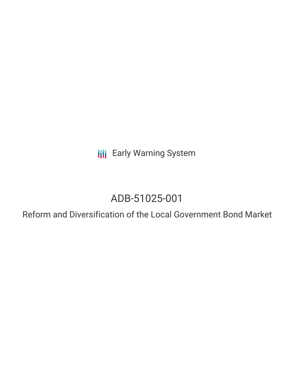**III** Early Warning System

# ADB-51025-001

Reform and Diversification of the Local Government Bond Market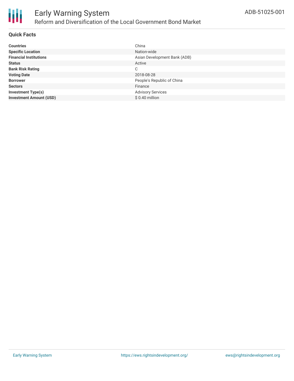

# **Quick Facts**

| <b>Countries</b>               | China                        |
|--------------------------------|------------------------------|
| <b>Specific Location</b>       | Nation-wide                  |
| <b>Financial Institutions</b>  | Asian Development Bank (ADB) |
| <b>Status</b>                  | Active                       |
| <b>Bank Risk Rating</b>        | C                            |
| <b>Voting Date</b>             | 2018-08-28                   |
| <b>Borrower</b>                | People's Republic of China   |
| <b>Sectors</b>                 | Finance                      |
| <b>Investment Type(s)</b>      | <b>Advisory Services</b>     |
| <b>Investment Amount (USD)</b> | $$0.40$ million              |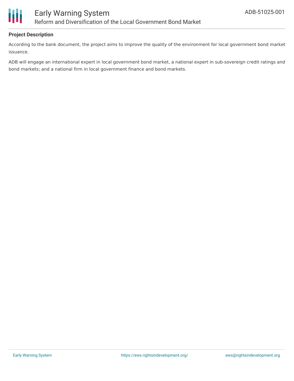

# **Project Description**

According to the bank document, the project aims to improve the quality of the environment for local government bond market issuance.

ADB will engage an international expert in local government bond market, a national expert in sub-sovereign credit ratings and bond markets; and a national firm in local government finance and bond markets.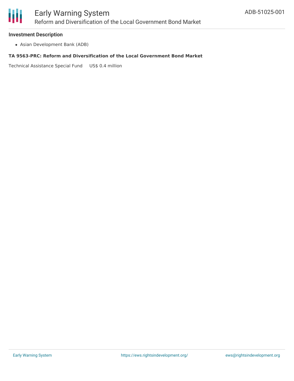

### **Investment Description**

Asian Development Bank (ADB)

#### **TA 9563-PRC: Reform and Diversification of the Local Government Bond Market**

Technical Assistance Special Fund US\$ 0.4 million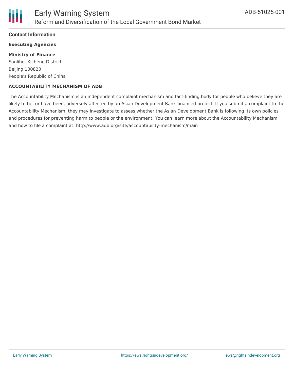# **Contact Information**

# **Executing Agencies**

#### **Ministry of Finance**

Sanlihe, Xicheng District Beijing,100820 People's Republic of China

#### **ACCOUNTABILITY MECHANISM OF ADB**

The Accountability Mechanism is an independent complaint mechanism and fact-finding body for people who believe they are likely to be, or have been, adversely affected by an Asian Development Bank-financed project. If you submit a complaint to the Accountability Mechanism, they may investigate to assess whether the Asian Development Bank is following its own policies and procedures for preventing harm to people or the environment. You can learn more about the Accountability Mechanism and how to file a complaint at: http://www.adb.org/site/accountability-mechanism/main